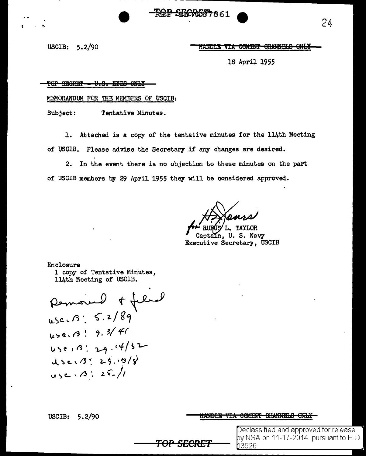<del>ଜድ SEICREA7</del> ጸ 6 1

USCIB:  $5.2/90$ 

#### HANDLE VIA COMINT CHANNELS ONLY

18 April 1955

#### TERGER TOT <del>-U.S. EYES ONLY</del>

MEMORANDUM FOR THE MEMBERS OF USCIB:

Subject: Tentative Minutes.

Attached is a copy of the tentative minutes for the 114th Meeting 1. of USCIB. Please advise the Secretary if any changes are desired.

In the event there is no objection to these minutes on the part  $2.$ of USCIB members by 29 April 1955 they will be considered approved.

**L. TAYLOR** 

n, U.S. Navy Executive Secretary, USCIB

Enclosure 1 copy of Tentative Minutes, 114th Meeting of USCIB.

Remoire et filiel USE. B : 9.3/41 450.13:29.14/32  $USe/3!29.98$  $USC \cdot 13 : 25.11$ 

USCIB:  $5.2/90$ 

#### <u>HANDLE VIA COMINT CHANNELS ONLY</u>

Declassified and approved for release. by NSA on 11-17-2014  $\,$  pursuant to E.O.  $\,$ 3526

24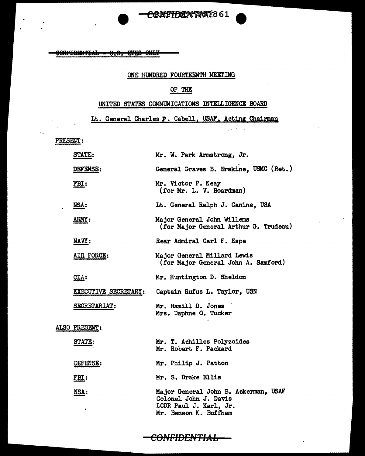CONFIDENTIAL - U.S. EYES ONLY

### ONE HUNDRED FOURTEENTH MEETING

## OF THE

### UNITED STATES COMMUNICATIONS INTELLIGENCE BOARD

Lt. General Charles **p** . Cabell, USAF, Acting Chairman

'

 $1.301$ 

PRESENT:

|  | STATE:          | Mr. W. Park Armstrong, Jr.                                                                                       |
|--|-----------------|------------------------------------------------------------------------------------------------------------------|
|  | <b>DEFENSE:</b> | General Graves B. Erskine, USMC (Ret.)                                                                           |
|  | <u>FBI:</u>     | Mr. Victor P. Keay<br>(for Mr. L. V. Boardman)                                                                   |
|  | <u>NSA:</u>     | Lt. General Ralph J. Canine, USA                                                                                 |
|  | ARMY:           | Major General John Willems<br>(for Major General Arthur G. Trudeau)                                              |
|  | NAVY:           | Rear Admiral Carl F. Espe                                                                                        |
|  | AIR FORCE:      | Major General Millard Lewis<br>(for Major General John A. Samford)                                               |
|  | CLA:            | Mr. Huntington D. Sheldon                                                                                        |
|  |                 | EXECUTIVE SECRETARY: Captain Rufus L. Taylor, USN                                                                |
|  | SECRETARIAT:    | Mr. Hamill D. Jones<br>Mrs. Daphne O. Tucker                                                                     |
|  | ALSO PRESENT:   |                                                                                                                  |
|  | STATE:          | Mr. T. Achilles Polyzoides<br>Mr. Robert F. Packard                                                              |
|  | DEFENSE:        | Mr. Philip J. Patton                                                                                             |
|  | <u>FBI:</u>     | Mr. S. Drake Ellis                                                                                               |
|  | NSA:<br>,       | Major General John B. Ackerman, USAF<br>Colonel John J. Davis<br>LCDR Paul J. Karl, Jr.<br>Mr. Benson K. Buffham |

**CONFfD£1"t/TIA L**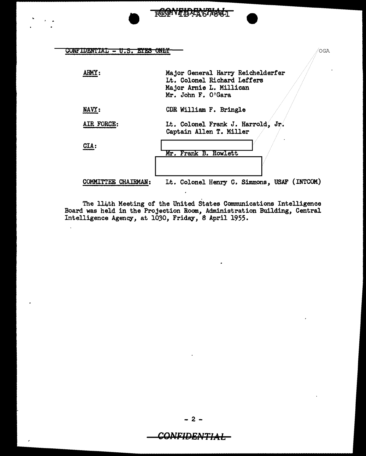$\text{CONF} \text{IDENTIAL} = \text{U.S. EYES} \text{ ONLY } \longrightarrow$ 

 $\mathbb{R}^2$ 

| ARMY:               | Major General Harry Reichelderfer<br>Lt. Colonel Richard Leffers<br>Major Arnie L. Millican<br>Mr. John F. O'Gara |
|---------------------|-------------------------------------------------------------------------------------------------------------------|
| NAVY:               | CDR William F. Bringle                                                                                            |
| AIR FORCE:          | Lt. Colonel Frank J. Harrold, Jr.<br>Captain Allen T. Miller                                                      |
| $CLA$ :             | Mr. Frank B. Rowlett                                                                                              |
|                     |                                                                                                                   |
| COMMITTEE CHAIRMAN: | Lt. Colonel Henry C. Simmons, USAF (INTCOM)                                                                       |

REGNTHARYSTIGGT

The 114th Meeting of the United States Communications Intelligence Board was held in the Projection Room, Administration Building, Central Intelligence Agency, at 1030, Friday, 8 April 1955.

- 2 -

# CONFIDENTIAL